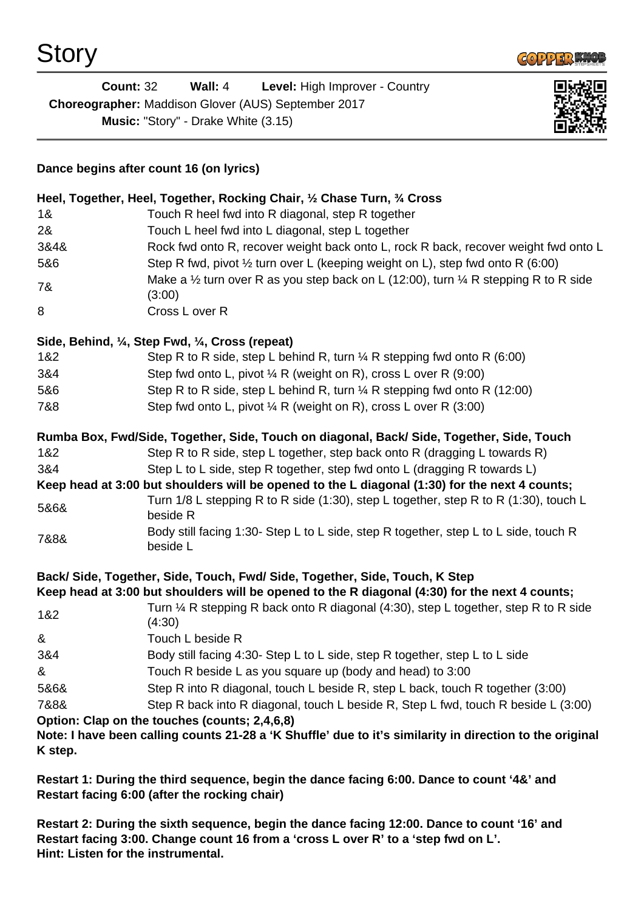

| <b>Count: 32</b>                                    | Wall: $4$ | <b>Level:</b> High Improver - Country |
|-----------------------------------------------------|-----------|---------------------------------------|
| Choreographer: Maddison Glover (AUS) September 2017 |           |                                       |
| <b>Music: "Story" - Drake White (3.15)</b>          |           |                                       |



## **Dance begins after count 16 (on lyrics)**

|                 | Heel, Together, Heel, Together, Rocking Chair, 1/2 Chase Turn, 3/4 Cross                                                                                                    |
|-----------------|-----------------------------------------------------------------------------------------------------------------------------------------------------------------------------|
| 18 <sub>1</sub> | Touch R heel fwd into R diagonal, step R together                                                                                                                           |
| 2&              | Touch L heel fwd into L diagonal, step L together                                                                                                                           |
| 3&4&            | Rock fwd onto R, recover weight back onto L, rock R back, recover weight fwd onto L                                                                                         |
| 5&6             | Step R fwd, pivot 1/2 turn over L (keeping weight on L), step fwd onto R (6:00)                                                                                             |
| 7&              | Make a $\frac{1}{2}$ turn over R as you step back on L (12:00), turn $\frac{1}{4}$ R stepping R to R side<br>(3:00)                                                         |
| 8               | Cross L over R                                                                                                                                                              |
|                 | Side, Behind, 1/4, Step Fwd, 1/4, Cross (repeat)                                                                                                                            |
| 1&2             | Step R to R side, step L behind R, turn $\frac{1}{4}$ R stepping fwd onto R (6:00)                                                                                          |
| 3&4             | Step fwd onto L, pivot ¼ R (weight on R), cross L over R (9:00)                                                                                                             |
| 5&6             | Step R to R side, step L behind R, turn 1/4 R stepping fwd onto R (12:00)                                                                                                   |
| 7&8             | Step fwd onto L, pivot $\frac{1}{4}$ R (weight on R), cross L over R (3:00)                                                                                                 |
|                 | Rumba Box, Fwd/Side, Together, Side, Touch on diagonal, Back/ Side, Together, Side, Touch                                                                                   |
| 1&2             | Step R to R side, step L together, step back onto R (dragging L towards R)                                                                                                  |
| 3&4             | Step L to L side, step R together, step fwd onto L (dragging R towards L)                                                                                                   |
|                 | Keep head at 3:00 but shoulders will be opened to the L diagonal (1:30) for the next 4 counts;                                                                              |
| 5&6&            | Turn 1/8 L stepping R to R side (1:30), step L together, step R to R (1:30), touch L<br>beside R                                                                            |
| 7&8&            | Body still facing 1:30- Step L to L side, step R together, step L to L side, touch R<br>beside L                                                                            |
|                 | Back/Side, Together, Side, Touch, Fwd/Side, Together, Side, Touch, K Step<br>Keep head at 3:00 but shoulders will be opened to the R diagonal (4:30) for the next 4 counts; |
| 1&2             | Turn ¼ R stepping R back onto R diagonal (4:30), step L together, step R to R side<br>(4:30)                                                                                |
| &               | Touch L beside R                                                                                                                                                            |
| 3&4             | Body still facing 4:30- Step L to L side, step R together, step L to L side                                                                                                 |
| &               | Touch R beside L as you square up (body and head) to 3:00                                                                                                                   |
| 5&6&            | Step R into R diagonal, touch L beside R, step L back, touch R together (3:00)                                                                                              |
| 7&8&            | Step R back into R diagonal, touch L beside R, Step L fwd, touch R beside L (3:00)                                                                                          |
|                 | Option: Clap on the touches (counts; 2,4,6,8)                                                                                                                               |
| K step.         | Note: I have been calling counts 21-28 a 'K Shuffle' due to it's similarity in direction to the original                                                                    |
|                 |                                                                                                                                                                             |

**Restart 1: During the third sequence, begin the dance facing 6:00. Dance to count '4&' and Restart facing 6:00 (after the rocking chair)**

**Restart 2: During the sixth sequence, begin the dance facing 12:00. Dance to count '16' and Restart facing 3:00. Change count 16 from a 'cross L over R' to a 'step fwd on L'. Hint: Listen for the instrumental.**